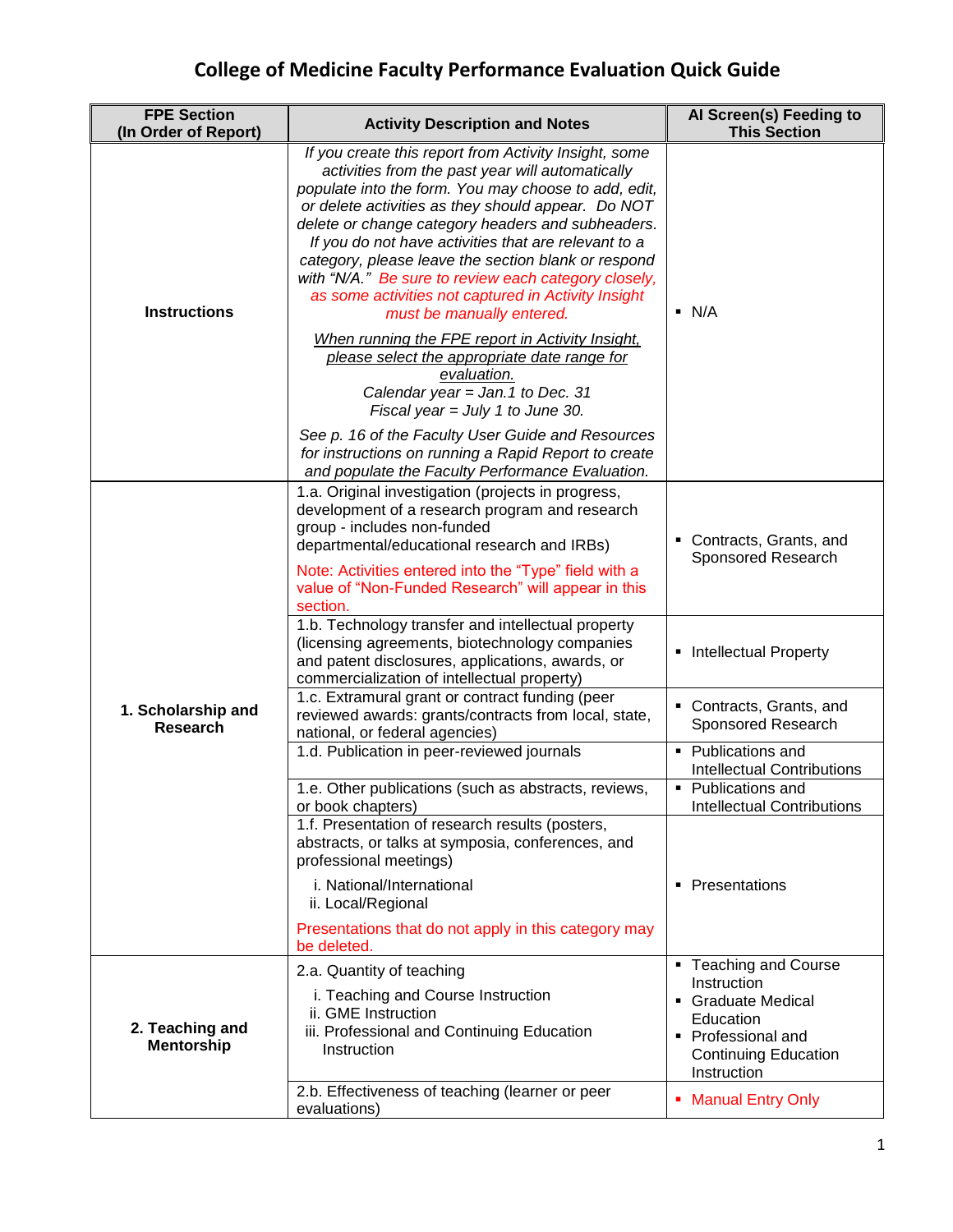## **College of Medicine Faculty Performance Evaluation Quick Guide**

| <b>FPE Section</b><br>(In Order of Report) | <b>Activity Description and Notes</b>                                                                                                                                                                                                                                                                                                                                                                                                                                                                                                   | Al Screen(s) Feeding to<br><b>This Section</b>                                                                                            |
|--------------------------------------------|-----------------------------------------------------------------------------------------------------------------------------------------------------------------------------------------------------------------------------------------------------------------------------------------------------------------------------------------------------------------------------------------------------------------------------------------------------------------------------------------------------------------------------------------|-------------------------------------------------------------------------------------------------------------------------------------------|
| <b>Instructions</b>                        | If you create this report from Activity Insight, some<br>activities from the past year will automatically<br>populate into the form. You may choose to add, edit,<br>or delete activities as they should appear. Do NOT<br>delete or change category headers and subheaders.<br>If you do not have activities that are relevant to a<br>category, please leave the section blank or respond<br>with "N/A." Be sure to review each category closely,<br>as some activities not captured in Activity Insight<br>must be manually entered. | $\blacksquare$ N/A                                                                                                                        |
|                                            | When running the FPE report in Activity Insight,<br>please select the appropriate date range for<br>evaluation.<br>Calendar year = Jan.1 to Dec. 31<br>Fiscal year = July 1 to June 30.                                                                                                                                                                                                                                                                                                                                                 |                                                                                                                                           |
|                                            | See p. 16 of the Faculty User Guide and Resources<br>for instructions on running a Rapid Report to create<br>and populate the Faculty Performance Evaluation.                                                                                                                                                                                                                                                                                                                                                                           |                                                                                                                                           |
| 1. Scholarship and<br><b>Research</b>      | 1.a. Original investigation (projects in progress,<br>development of a research program and research<br>group - includes non-funded<br>departmental/educational research and IRBs)<br>Note: Activities entered into the "Type" field with a<br>value of "Non-Funded Research" will appear in this<br>section.                                                                                                                                                                                                                           | Contracts, Grants, and<br>Sponsored Research                                                                                              |
|                                            | 1.b. Technology transfer and intellectual property<br>(licensing agreements, biotechnology companies<br>and patent disclosures, applications, awards, or<br>commercialization of intellectual property)                                                                                                                                                                                                                                                                                                                                 | <b>Intellectual Property</b>                                                                                                              |
|                                            | 1.c. Extramural grant or contract funding (peer<br>reviewed awards: grants/contracts from local, state,<br>national, or federal agencies)                                                                                                                                                                                                                                                                                                                                                                                               | • Contracts, Grants, and<br>Sponsored Research                                                                                            |
|                                            | 1.d. Publication in peer-reviewed journals                                                                                                                                                                                                                                                                                                                                                                                                                                                                                              | • Publications and<br><b>Intellectual Contributions</b>                                                                                   |
|                                            | 1.e. Other publications (such as abstracts, reviews,<br>or book chapters)                                                                                                                                                                                                                                                                                                                                                                                                                                                               | • Publications and<br><b>Intellectual Contributions</b>                                                                                   |
|                                            | 1.f. Presentation of research results (posters,<br>abstracts, or talks at symposia, conferences, and<br>professional meetings)                                                                                                                                                                                                                                                                                                                                                                                                          |                                                                                                                                           |
|                                            | i. National/International<br>ii. Local/Regional                                                                                                                                                                                                                                                                                                                                                                                                                                                                                         | • Presentations                                                                                                                           |
|                                            | Presentations that do not apply in this category may<br>be deleted.                                                                                                                                                                                                                                                                                                                                                                                                                                                                     |                                                                                                                                           |
| 2. Teaching and<br><b>Mentorship</b>       | 2.a. Quantity of teaching<br>i. Teaching and Course Instruction<br>ii. GME Instruction<br>iii. Professional and Continuing Education<br>Instruction                                                                                                                                                                                                                                                                                                                                                                                     | • Teaching and Course<br>Instruction<br>Graduate Medical<br>Education<br>• Professional and<br><b>Continuing Education</b><br>Instruction |
|                                            | 2.b. Effectiveness of teaching (learner or peer<br>evaluations)                                                                                                                                                                                                                                                                                                                                                                                                                                                                         | <b>Manual Entry Only</b><br>ш                                                                                                             |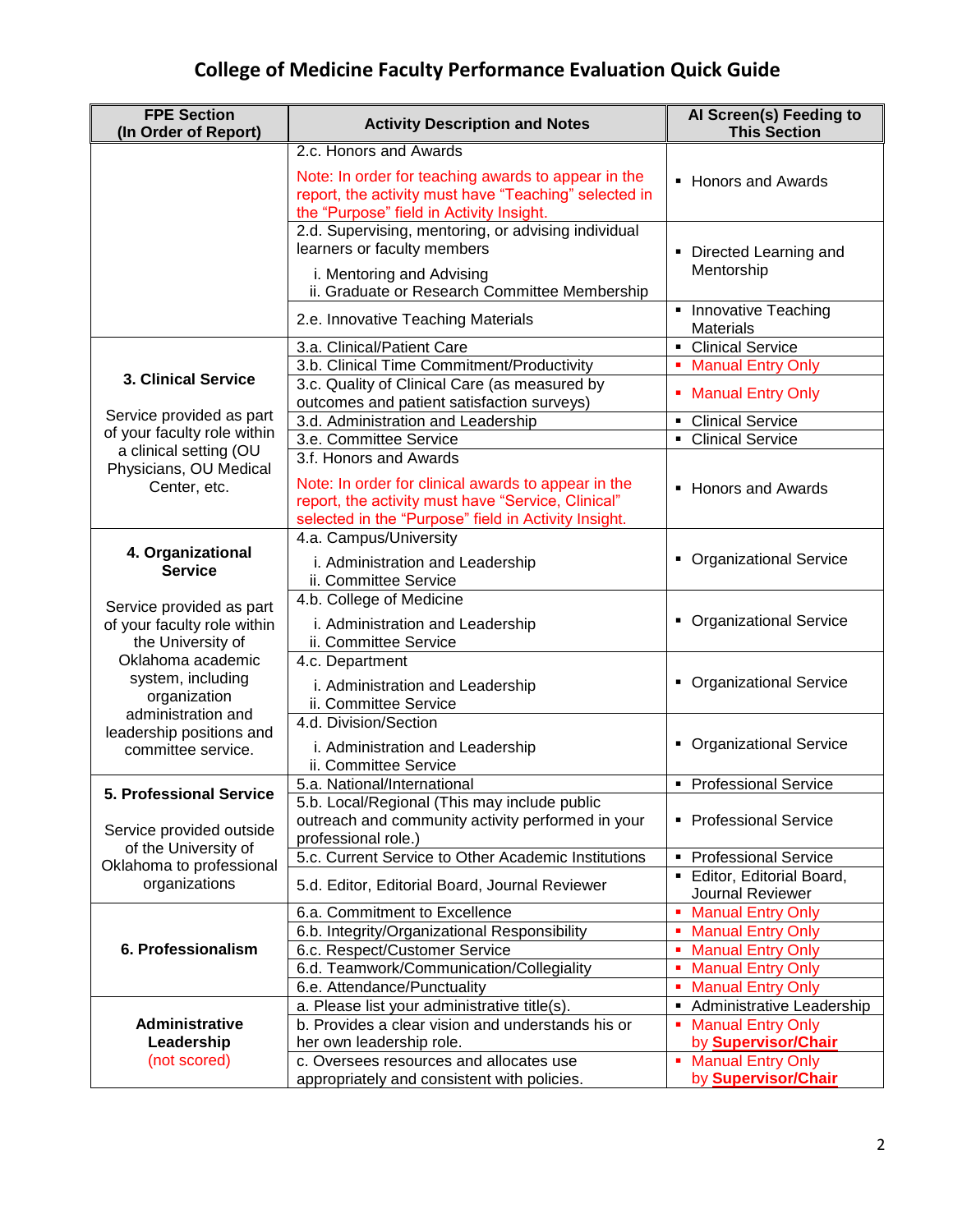## **College of Medicine Faculty Performance Evaluation Quick Guide**

| <b>FPE Section</b><br>(In Order of Report)                                                                               | <b>Activity Description and Notes</b>                 | Al Screen(s) Feeding to<br><b>This Section</b> |
|--------------------------------------------------------------------------------------------------------------------------|-------------------------------------------------------|------------------------------------------------|
|                                                                                                                          | 2.c. Honors and Awards                                |                                                |
|                                                                                                                          | Note: In order for teaching awards to appear in the   | • Honors and Awards                            |
|                                                                                                                          | report, the activity must have "Teaching" selected in |                                                |
|                                                                                                                          | the "Purpose" field in Activity Insight.              |                                                |
|                                                                                                                          | 2.d. Supervising, mentoring, or advising individual   |                                                |
|                                                                                                                          | learners or faculty members                           | • Directed Learning and                        |
|                                                                                                                          | i. Mentoring and Advising                             | Mentorship                                     |
|                                                                                                                          | ii. Graduate or Research Committee Membership         |                                                |
|                                                                                                                          | 2.e. Innovative Teaching Materials                    | • Innovative Teaching<br><b>Materials</b>      |
|                                                                                                                          | 3.a. Clinical/Patient Care                            | • Clinical Service                             |
| <b>3. Clinical Service</b>                                                                                               | 3.b. Clinical Time Commitment/Productivity            | • Manual Entry Only                            |
|                                                                                                                          | 3.c. Quality of Clinical Care (as measured by         | • Manual Entry Only                            |
| Service provided as part<br>of your faculty role within                                                                  | outcomes and patient satisfaction surveys)            |                                                |
|                                                                                                                          | 3.d. Administration and Leadership                    | <b>Clinical Service</b><br>٠                   |
| a clinical setting (OU                                                                                                   | 3.e. Committee Service                                | <b>Clinical Service</b><br>$\blacksquare$      |
| Physicians, OU Medical                                                                                                   | 3.f. Honors and Awards                                |                                                |
| Center, etc.                                                                                                             | Note: In order for clinical awards to appear in the   | • Honors and Awards                            |
|                                                                                                                          | report, the activity must have "Service, Clinical"    |                                                |
|                                                                                                                          | selected in the "Purpose" field in Activity Insight.  |                                                |
| 4. Organizational                                                                                                        | 4.a. Campus/University                                |                                                |
| <b>Service</b>                                                                                                           | i. Administration and Leadership                      | • Organizational Service                       |
|                                                                                                                          | ii. Committee Service                                 |                                                |
| Service provided as part                                                                                                 | 4.b. College of Medicine                              |                                                |
| of your faculty role within                                                                                              | i. Administration and Leadership                      | • Organizational Service                       |
| the University of                                                                                                        | ii. Committee Service                                 |                                                |
| Oklahoma academic                                                                                                        | 4.c. Department                                       |                                                |
| system, including                                                                                                        | i. Administration and Leadership                      | • Organizational Service                       |
| organization<br>administration and                                                                                       | ii. Committee Service                                 |                                                |
| leadership positions and                                                                                                 | 4.d. Division/Section                                 |                                                |
| committee service.                                                                                                       | i. Administration and Leadership                      | • Organizational Service                       |
|                                                                                                                          | ii. Committee Service                                 |                                                |
|                                                                                                                          | 5.a. National/International                           | • Professional Service                         |
| 5. Professional Service<br>Service provided outside<br>of the University of<br>Oklahoma to professional<br>organizations | 5.b. Local/Regional (This may include public          |                                                |
|                                                                                                                          | outreach and community activity performed in your     | • Professional Service                         |
|                                                                                                                          | professional role.)                                   |                                                |
|                                                                                                                          | 5.c. Current Service to Other Academic Institutions   | <b>Professional Service</b><br>٠               |
|                                                                                                                          | 5.d. Editor, Editorial Board, Journal Reviewer        | Editor, Editorial Board,<br>Journal Reviewer   |
|                                                                                                                          | 6.a. Commitment to Excellence                         | <b>Manual Entry Only</b>                       |
|                                                                                                                          | 6.b. Integrity/Organizational Responsibility          | <b>Manual Entry Only</b>                       |
| 6. Professionalism                                                                                                       | 6.c. Respect/Customer Service                         | <b>Manual Entry Only</b><br>٠                  |
|                                                                                                                          | 6.d. Teamwork/Communication/Collegiality              | <b>Manual Entry Only</b><br>٠                  |
|                                                                                                                          | 6.e. Attendance/Punctuality                           | <b>Manual Entry Only</b><br>٠                  |
|                                                                                                                          | a. Please list your administrative title(s).          | Administrative Leadership<br>٠                 |
| Administrative                                                                                                           | b. Provides a clear vision and understands his or     | <b>Manual Entry Only</b>                       |
| Leadership                                                                                                               | her own leadership role.                              | by <b>Supervisor/Chair</b>                     |
| (not scored)                                                                                                             | c. Oversees resources and allocates use               | <b>Manual Entry Only</b><br>٠                  |
|                                                                                                                          | appropriately and consistent with policies.           | by <b>Supervisor/Chair</b>                     |